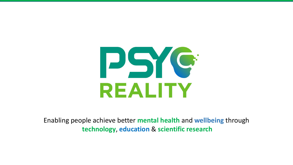

Enabling people achieve better **mental health** and **wellbeing** through **technology**, **education** & **scientific research**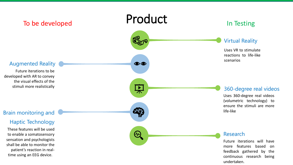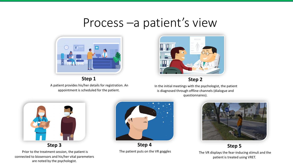## Process –a patient's view



**Step 1** A patient provides his/her details for registration. An appointment is scheduled for the patient.



**Step 2**

In the initial meetings with the psychologist, the patient is diagnosed through offline channels (dialogue and questionnaires).



Prior to the treatment session, the patient is connected to biosensors and his/her vital paremeters are noted by the psychologist.



**Step 4** The patient puts on the VR goggles



**Step 5** The VR displays the fear-inducing stimuli and the patient is treated using VRET.